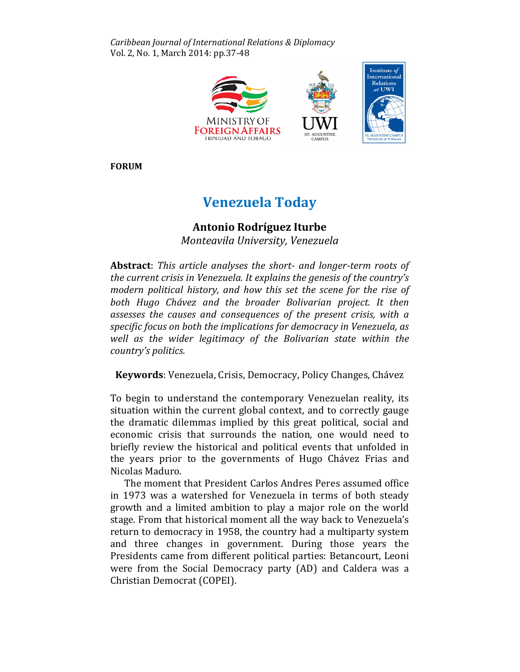Caribbean Journal of International Relations & Diplomacy Vol. 2, No. 1, March 2014: pp.37-48



FORUM

# Venezuela Today

# Antonio Rodríguez Iturbe

Monteavila University, Venezuela

Abstract: This article analyses the short- and longer-term roots of the current crisis in Venezuela. It explains the genesis of the country's modern political history, and how this set the scene for the rise of both Hugo Chávez and the broader Bolivarian project. It then assesses the causes and consequences of the present crisis, with a specific focus on both the implications for democracy in Venezuela, as well as the wider legitimacy of the Bolivarian state within the country's politics.

Keywords: Venezuela, Crisis, Democracy, Policy Changes, Chávez

To begin to understand the contemporary Venezuelan reality, its situation within the current global context, and to correctly gauge the dramatic dilemmas implied by this great political, social and economic crisis that surrounds the nation, one would need to briefly review the historical and political events that unfolded in the years prior to the governments of Hugo Chávez Frias and Nicolas Maduro.

The moment that President Carlos Andres Peres assumed office in 1973 was a watershed for Venezuela in terms of both steady growth and a limited ambition to play a major role on the world stage. From that historical moment all the way back to Venezuela's return to democracy in 1958, the country had a multiparty system and three changes in government. During those years the Presidents came from different political parties: Betancourt, Leoni were from the Social Democracy party (AD) and Caldera was a Christian Democrat (COPEI).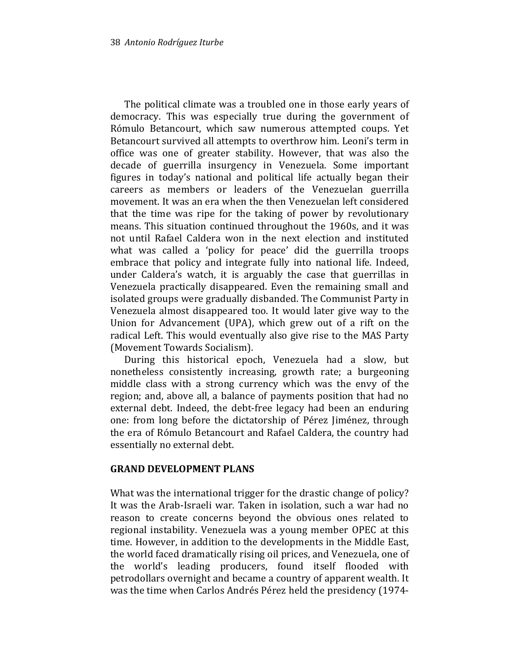The political climate was a troubled one in those early years of democracy. This was especially true during the government of Rómulo Betancourt, which saw numerous attempted coups. Yet Betancourt survived all attempts to overthrow him. Leoni's term in office was one of greater stability. However, that was also the decade of guerrilla insurgency in Venezuela. Some important figures in today's national and political life actually began their careers as members or leaders of the Venezuelan guerrilla movement. It was an era when the then Venezuelan left considered that the time was ripe for the taking of power by revolutionary means. This situation continued throughout the 1960s, and it was not until Rafael Caldera won in the next election and instituted what was called a 'policy for peace' did the guerrilla troops embrace that policy and integrate fully into national life. Indeed, under Caldera's watch, it is arguably the case that guerrillas in Venezuela practically disappeared. Even the remaining small and isolated groups were gradually disbanded. The Communist Party in Venezuela almost disappeared too. It would later give way to the Union for Advancement (UPA), which grew out of a rift on the radical Left. This would eventually also give rise to the MAS Party (Movement Towards Socialism).

During this historical epoch, Venezuela had a slow, but nonetheless consistently increasing, growth rate; a burgeoning middle class with a strong currency which was the envy of the region; and, above all, a balance of payments position that had no external debt. Indeed, the debt-free legacy had been an enduring one: from long before the dictatorship of Pérez Jiménez, through the era of Rómulo Betancourt and Rafael Caldera, the country had essentially no external debt.

#### GRAND DEVELOPMENT PLANS

What was the international trigger for the drastic change of policy? It was the Arab-Israeli war. Taken in isolation, such a war had no reason to create concerns beyond the obvious ones related to regional instability. Venezuela was a young member OPEC at this time. However, in addition to the developments in the Middle East, the world faced dramatically rising oil prices, and Venezuela, one of the world's leading producers, found itself flooded with petrodollars overnight and became a country of apparent wealth. It was the time when Carlos Andrés Pérez held the presidency (1974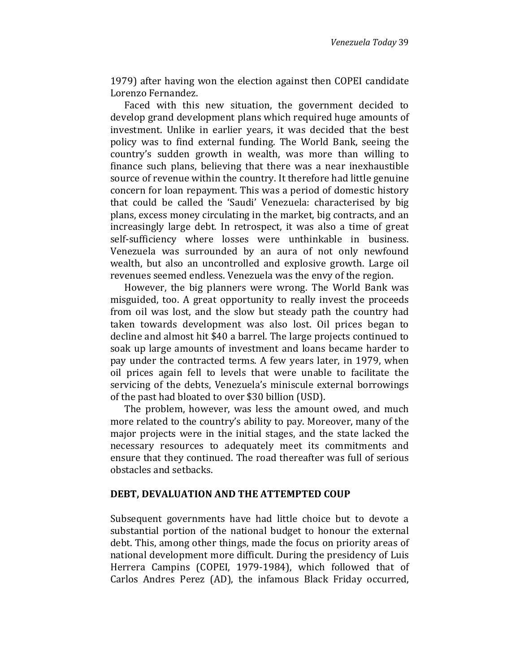1979) after having won the election against then COPEI candidate Lorenzo Fernandez.

Faced with this new situation, the government decided to develop grand development plans which required huge amounts of investment. Unlike in earlier years, it was decided that the best policy was to find external funding. The World Bank, seeing the country's sudden growth in wealth, was more than willing to finance such plans, believing that there was a near inexhaustible source of revenue within the country. It therefore had little genuine concern for loan repayment. This was a period of domestic history that could be called the 'Saudi' Venezuela: characterised by big plans, excess money circulating in the market, big contracts, and an increasingly large debt. In retrospect, it was also a time of great self-sufficiency where losses were unthinkable in business. Venezuela was surrounded by an aura of not only newfound wealth, but also an uncontrolled and explosive growth. Large oil revenues seemed endless. Venezuela was the envy of the region.

However, the big planners were wrong. The World Bank was misguided, too. A great opportunity to really invest the proceeds from oil was lost, and the slow but steady path the country had taken towards development was also lost. Oil prices began to decline and almost hit \$40 a barrel. The large projects continued to soak up large amounts of investment and loans became harder to pay under the contracted terms. A few years later, in 1979, when oil prices again fell to levels that were unable to facilitate the servicing of the debts, Venezuela's miniscule external borrowings of the past had bloated to over \$30 billion (USD).

The problem, however, was less the amount owed, and much more related to the country's ability to pay. Moreover, many of the major projects were in the initial stages, and the state lacked the necessary resources to adequately meet its commitments and ensure that they continued. The road thereafter was full of serious obstacles and setbacks.

#### DEBT, DEVALUATION AND THE ATTEMPTED COUP

Subsequent governments have had little choice but to devote a substantial portion of the national budget to honour the external debt. This, among other things, made the focus on priority areas of national development more difficult. During the presidency of Luis Herrera Campins (COPEI, 1979-1984), which followed that of Carlos Andres Perez (AD), the infamous Black Friday occurred,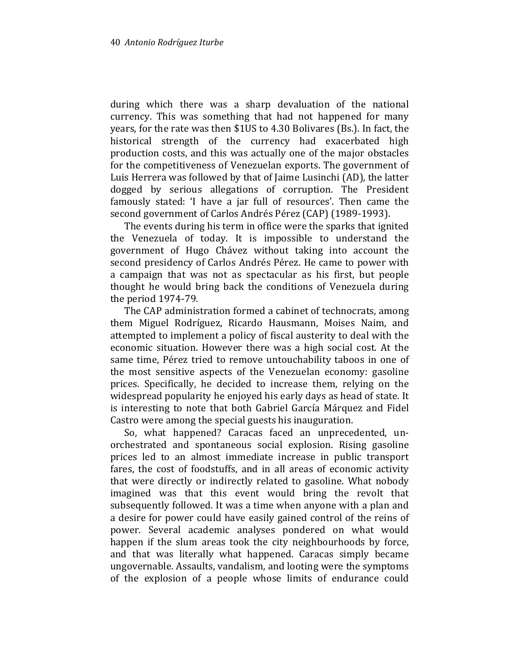during which there was a sharp devaluation of the national currency. This was something that had not happened for many years, for the rate was then \$1US to 4.30 Bolivares (Bs.). In fact, the historical strength of the currency had exacerbated high production costs, and this was actually one of the major obstacles for the competitiveness of Venezuelan exports. The government of Luis Herrera was followed by that of Jaime Lusinchi (AD), the latter dogged by serious allegations of corruption. The President famously stated: 'I have a jar full of resources'. Then came the second government of Carlos Andrés Pérez (CAP) (1989-1993).

The events during his term in office were the sparks that ignited the Venezuela of today. It is impossible to understand the government of Hugo Chávez without taking into account the second presidency of Carlos Andrés Pérez. He came to power with a campaign that was not as spectacular as his first, but people thought he would bring back the conditions of Venezuela during the period 1974-79.

The CAP administration formed a cabinet of technocrats, among them Miguel Rodríguez, Ricardo Hausmann, Moises Naim, and attempted to implement a policy of fiscal austerity to deal with the economic situation. However there was a high social cost. At the same time, Pérez tried to remove untouchability taboos in one of the most sensitive aspects of the Venezuelan economy: gasoline prices. Specifically, he decided to increase them, relying on the widespread popularity he enjoyed his early days as head of state. It is interesting to note that both Gabriel García Márquez and Fidel Castro were among the special guests his inauguration.

So, what happened? Caracas faced an unprecedented, unorchestrated and spontaneous social explosion. Rising gasoline prices led to an almost immediate increase in public transport fares, the cost of foodstuffs, and in all areas of economic activity that were directly or indirectly related to gasoline. What nobody imagined was that this event would bring the revolt that subsequently followed. It was a time when anyone with a plan and a desire for power could have easily gained control of the reins of power. Several academic analyses pondered on what would happen if the slum areas took the city neighbourhoods by force, and that was literally what happened. Caracas simply became ungovernable. Assaults, vandalism, and looting were the symptoms of the explosion of a people whose limits of endurance could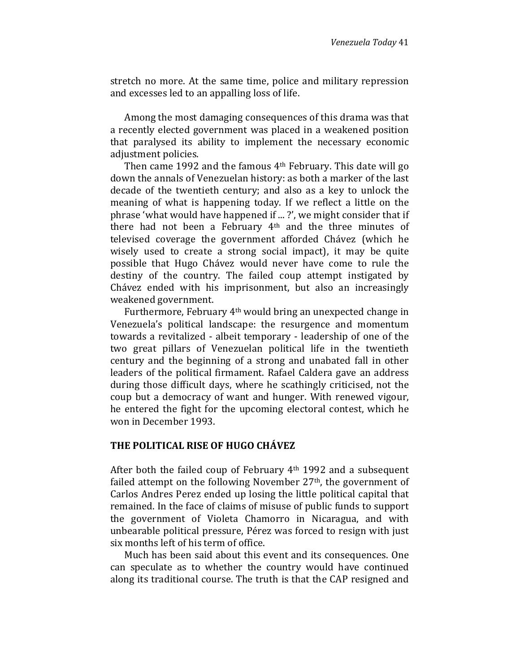stretch no more. At the same time, police and military repression and excesses led to an appalling loss of life.

Among the most damaging consequences of this drama was that a recently elected government was placed in a weakened position that paralysed its ability to implement the necessary economic adjustment policies.

Then came 1992 and the famous 4th February. This date will go down the annals of Venezuelan history: as both a marker of the last decade of the twentieth century; and also as a key to unlock the meaning of what is happening today. If we reflect a little on the phrase 'what would have happened if ... ?', we might consider that if there had not been a February 4th and the three minutes of televised coverage the government afforded Chávez (which he wisely used to create a strong social impact), it may be quite possible that Hugo Chávez would never have come to rule the destiny of the country. The failed coup attempt instigated by Chávez ended with his imprisonment, but also an increasingly weakened government.

Furthermore, February 4th would bring an unexpected change in Venezuela's political landscape: the resurgence and momentum towards a revitalized - albeit temporary - leadership of one of the two great pillars of Venezuelan political life in the twentieth century and the beginning of a strong and unabated fall in other leaders of the political firmament. Rafael Caldera gave an address during those difficult days, where he scathingly criticised, not the coup but a democracy of want and hunger. With renewed vigour, he entered the fight for the upcoming electoral contest, which he won in December 1993.

#### THE POLITICAL RISE OF HUGO CHÁVEZ

After both the failed coup of February 4th 1992 and a subsequent failed attempt on the following November 27th, the government of Carlos Andres Perez ended up losing the little political capital that remained. In the face of claims of misuse of public funds to support the government of Violeta Chamorro in Nicaragua, and with unbearable political pressure, Pérez was forced to resign with just six months left of his term of office.

Much has been said about this event and its consequences. One can speculate as to whether the country would have continued along its traditional course. The truth is that the CAP resigned and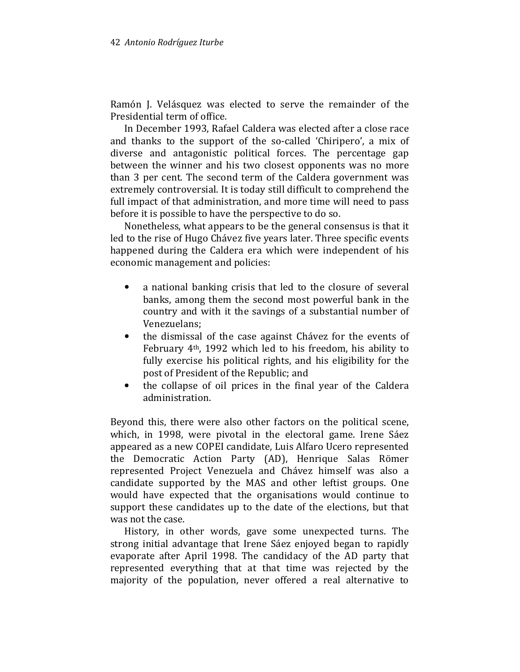Ramón J. Velásquez was elected to serve the remainder of the Presidential term of office.

In December 1993, Rafael Caldera was elected after a close race and thanks to the support of the so-called 'Chiripero', a mix of diverse and antagonistic political forces. The percentage gap between the winner and his two closest opponents was no more than 3 per cent. The second term of the Caldera government was extremely controversial. It is today still difficult to comprehend the full impact of that administration, and more time will need to pass before it is possible to have the perspective to do so.

Nonetheless, what appears to be the general consensus is that it led to the rise of Hugo Chávez five years later. Three specific events happened during the Caldera era which were independent of his economic management and policies:

- a national banking crisis that led to the closure of several banks, among them the second most powerful bank in the country and with it the savings of a substantial number of Venezuelans;
- the dismissal of the case against Chávez for the events of February 4th, 1992 which led to his freedom, his ability to fully exercise his political rights, and his eligibility for the post of President of the Republic; and
- the collapse of oil prices in the final year of the Caldera administration.

Beyond this, there were also other factors on the political scene, which, in 1998, were pivotal in the electoral game. Irene Sáez appeared as a new COPEI candidate, Luis Alfaro Ucero represented the Democratic Action Party (AD), Henrique Salas Römer represented Project Venezuela and Chávez himself was also a candidate supported by the MAS and other leftist groups. One would have expected that the organisations would continue to support these candidates up to the date of the elections, but that was not the case.

History, in other words, gave some unexpected turns. The strong initial advantage that Irene Sáez enjoyed began to rapidly evaporate after April 1998. The candidacy of the AD party that represented everything that at that time was rejected by the majority of the population, never offered a real alternative to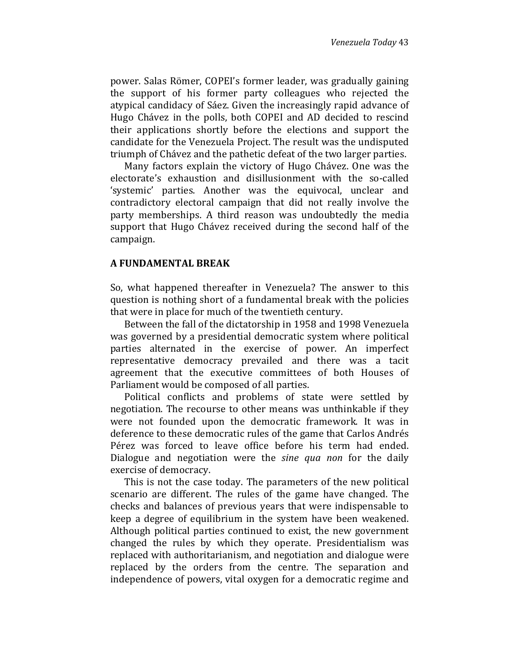power. Salas Römer, COPEI's former leader, was gradually gaining the support of his former party colleagues who rejected the atypical candidacy of Sáez. Given the increasingly rapid advance of Hugo Chávez in the polls, both COPEI and AD decided to rescind their applications shortly before the elections and support the candidate for the Venezuela Project. The result was the undisputed triumph of Chávez and the pathetic defeat of the two larger parties.

Many factors explain the victory of Hugo Chávez. One was the electorate's exhaustion and disillusionment with the so-called 'systemic' parties. Another was the equivocal, unclear and contradictory electoral campaign that did not really involve the party memberships. A third reason was undoubtedly the media support that Hugo Chávez received during the second half of the campaign.

#### A FUNDAMENTAL BREAK

So, what happened thereafter in Venezuela? The answer to this question is nothing short of a fundamental break with the policies that were in place for much of the twentieth century.

Between the fall of the dictatorship in 1958 and 1998 Venezuela was governed by a presidential democratic system where political parties alternated in the exercise of power. An imperfect representative democracy prevailed and there was a tacit agreement that the executive committees of both Houses of Parliament would be composed of all parties.

Political conflicts and problems of state were settled by negotiation. The recourse to other means was unthinkable if they were not founded upon the democratic framework. It was in deference to these democratic rules of the game that Carlos Andrés Pérez was forced to leave office before his term had ended. Dialogue and negotiation were the sine qua non for the daily exercise of democracy.

This is not the case today. The parameters of the new political scenario are different. The rules of the game have changed. The checks and balances of previous years that were indispensable to keep a degree of equilibrium in the system have been weakened. Although political parties continued to exist, the new government changed the rules by which they operate. Presidentialism was replaced with authoritarianism, and negotiation and dialogue were replaced by the orders from the centre. The separation and independence of powers, vital oxygen for a democratic regime and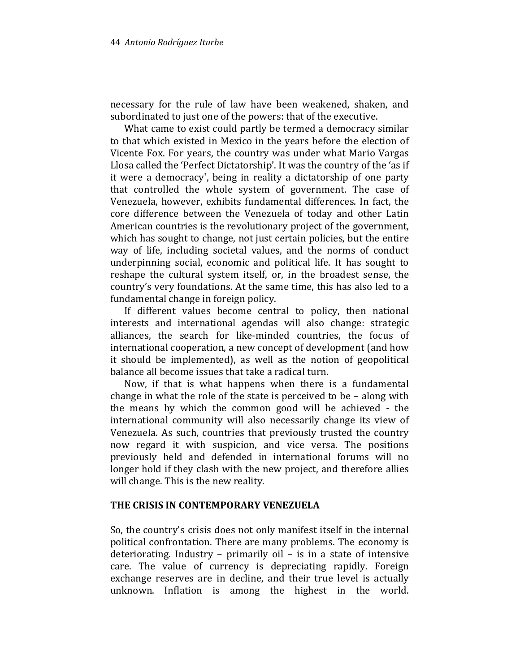necessary for the rule of law have been weakened, shaken, and subordinated to just one of the powers: that of the executive.

What came to exist could partly be termed a democracy similar to that which existed in Mexico in the years before the election of Vicente Fox. For years, the country was under what Mario Vargas Llosa called the 'Perfect Dictatorship'. It was the country of the 'as if it were a democracy', being in reality a dictatorship of one party that controlled the whole system of government. The case of Venezuela, however, exhibits fundamental differences. In fact, the core difference between the Venezuela of today and other Latin American countries is the revolutionary project of the government, which has sought to change, not just certain policies, but the entire way of life, including societal values, and the norms of conduct underpinning social, economic and political life. It has sought to reshape the cultural system itself, or, in the broadest sense, the country's very foundations. At the same time, this has also led to a fundamental change in foreign policy.

If different values become central to policy, then national interests and international agendas will also change: strategic alliances, the search for like-minded countries, the focus of international cooperation, a new concept of development (and how it should be implemented), as well as the notion of geopolitical balance all become issues that take a radical turn.

Now, if that is what happens when there is a fundamental change in what the role of the state is perceived to be – along with the means by which the common good will be achieved - the international community will also necessarily change its view of Venezuela. As such, countries that previously trusted the country now regard it with suspicion, and vice versa. The positions previously held and defended in international forums will no longer hold if they clash with the new project, and therefore allies will change. This is the new reality.

## THE CRISIS IN CONTEMPORARY VENEZUELA

So, the country's crisis does not only manifest itself in the internal political confrontation. There are many problems. The economy is deteriorating. Industry – primarily oil – is in a state of intensive care. The value of currency is depreciating rapidly. Foreign exchange reserves are in decline, and their true level is actually unknown. Inflation is among the highest in the world.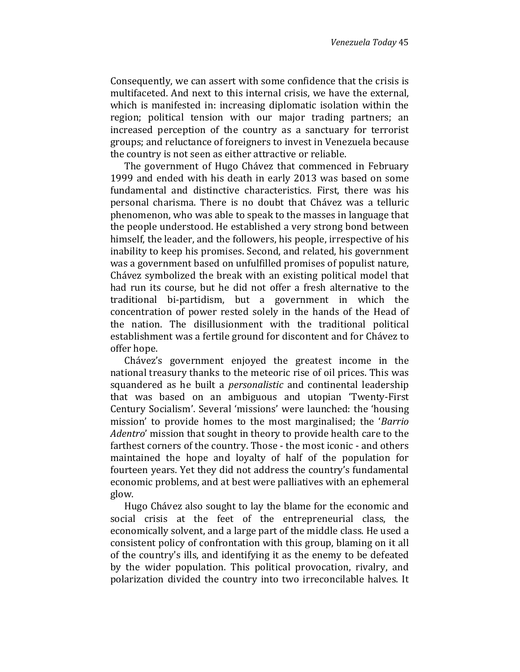Consequently, we can assert with some confidence that the crisis is multifaceted. And next to this internal crisis, we have the external, which is manifested in: increasing diplomatic isolation within the region; political tension with our major trading partners; an increased perception of the country as a sanctuary for terrorist groups; and reluctance of foreigners to invest in Venezuela because the country is not seen as either attractive or reliable.

The government of Hugo Chávez that commenced in February 1999 and ended with his death in early 2013 was based on some fundamental and distinctive characteristics. First, there was his personal charisma. There is no doubt that Chávez was a telluric phenomenon, who was able to speak to the masses in language that the people understood. He established a very strong bond between himself, the leader, and the followers, his people, irrespective of his inability to keep his promises. Second, and related, his government was a government based on unfulfilled promises of populist nature, Chávez symbolized the break with an existing political model that had run its course, but he did not offer a fresh alternative to the traditional bi-partidism, but a government in which the concentration of power rested solely in the hands of the Head of the nation. The disillusionment with the traditional political establishment was a fertile ground for discontent and for Chávez to offer hope.

Chávez's government enjoyed the greatest income in the national treasury thanks to the meteoric rise of oil prices. This was squandered as he built a *personalistic* and continental leadership that was based on an ambiguous and utopian 'Twenty-First Century Socialism'. Several 'missions' were launched: the 'housing mission' to provide homes to the most marginalised; the 'Barrio Adentro' mission that sought in theory to provide health care to the farthest corners of the country. Those - the most iconic - and others maintained the hope and loyalty of half of the population for fourteen years. Yet they did not address the country's fundamental economic problems, and at best were palliatives with an ephemeral glow.

Hugo Chávez also sought to lay the blame for the economic and social crisis at the feet of the entrepreneurial class, the economically solvent, and a large part of the middle class. He used a consistent policy of confrontation with this group, blaming on it all of the country's ills, and identifying it as the enemy to be defeated by the wider population. This political provocation, rivalry, and polarization divided the country into two irreconcilable halves. It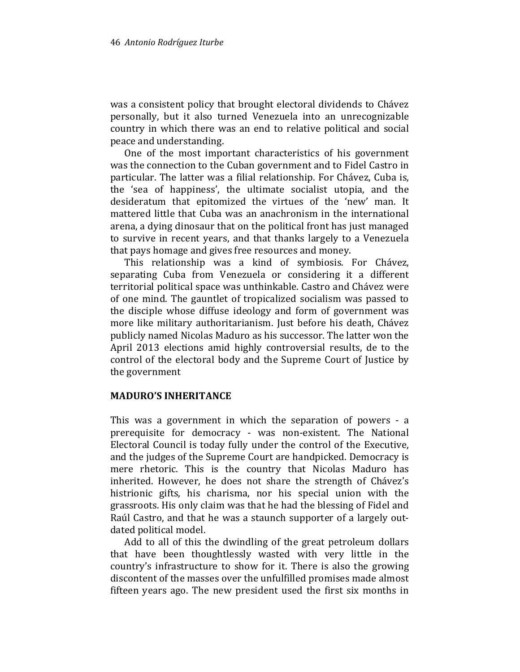was a consistent policy that brought electoral dividends to Chávez personally, but it also turned Venezuela into an unrecognizable country in which there was an end to relative political and social peace and understanding.

One of the most important characteristics of his government was the connection to the Cuban government and to Fidel Castro in particular. The latter was a filial relationship. For Chávez, Cuba is, the 'sea of happiness', the ultimate socialist utopia, and the desideratum that epitomized the virtues of the 'new' man. It mattered little that Cuba was an anachronism in the international arena, a dying dinosaur that on the political front has just managed to survive in recent years, and that thanks largely to a Venezuela that pays homage and gives free resources and money.

This relationship was a kind of symbiosis. For Chávez, separating Cuba from Venezuela or considering it a different territorial political space was unthinkable. Castro and Chávez were of one mind. The gauntlet of tropicalized socialism was passed to the disciple whose diffuse ideology and form of government was more like military authoritarianism. Just before his death, Chávez publicly named Nicolas Maduro as his successor. The latter won the April 2013 elections amid highly controversial results, de to the control of the electoral body and the Supreme Court of Justice by the government

#### MADURO'S INHERITANCE

This was a government in which the separation of powers - a prerequisite for democracy - was non-existent. The National Electoral Council is today fully under the control of the Executive, and the judges of the Supreme Court are handpicked. Democracy is mere rhetoric. This is the country that Nicolas Maduro has inherited. However, he does not share the strength of Chávez's histrionic gifts, his charisma, nor his special union with the grassroots. His only claim was that he had the blessing of Fidel and Raúl Castro, and that he was a staunch supporter of a largely outdated political model.

Add to all of this the dwindling of the great petroleum dollars that have been thoughtlessly wasted with very little in the country's infrastructure to show for it. There is also the growing discontent of the masses over the unfulfilled promises made almost fifteen years ago. The new president used the first six months in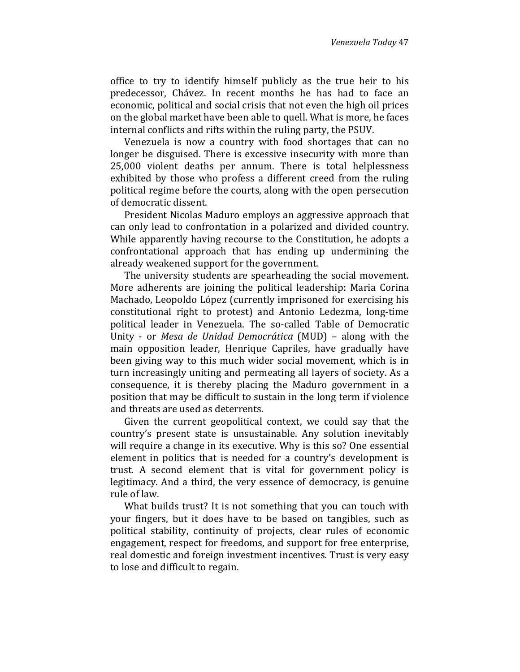office to try to identify himself publicly as the true heir to his predecessor, Chávez. In recent months he has had to face an economic, political and social crisis that not even the high oil prices on the global market have been able to quell. What is more, he faces internal conflicts and rifts within the ruling party, the PSUV.

Venezuela is now a country with food shortages that can no longer be disguised. There is excessive insecurity with more than 25,000 violent deaths per annum. There is total helplessness exhibited by those who profess a different creed from the ruling political regime before the courts, along with the open persecution of democratic dissent.

President Nicolas Maduro employs an aggressive approach that can only lead to confrontation in a polarized and divided country. While apparently having recourse to the Constitution, he adopts a confrontational approach that has ending up undermining the already weakened support for the government.

The university students are spearheading the social movement. More adherents are joining the political leadership: Maria Corina Machado, Leopoldo López (currently imprisoned for exercising his constitutional right to protest) and Antonio Ledezma, long-time political leader in Venezuela. The so-called Table of Democratic Unity - or Mesa de Unidad Democrática (MUD) – along with the main opposition leader, Henrique Capriles, have gradually have been giving way to this much wider social movement, which is in turn increasingly uniting and permeating all layers of society. As a consequence, it is thereby placing the Maduro government in a position that may be difficult to sustain in the long term if violence and threats are used as deterrents.

Given the current geopolitical context, we could say that the country's present state is unsustainable. Any solution inevitably will require a change in its executive. Why is this so? One essential element in politics that is needed for a country's development is trust. A second element that is vital for government policy is legitimacy. And a third, the very essence of democracy, is genuine rule of law.

What builds trust? It is not something that you can touch with your fingers, but it does have to be based on tangibles, such as political stability, continuity of projects, clear rules of economic engagement, respect for freedoms, and support for free enterprise, real domestic and foreign investment incentives. Trust is very easy to lose and difficult to regain.